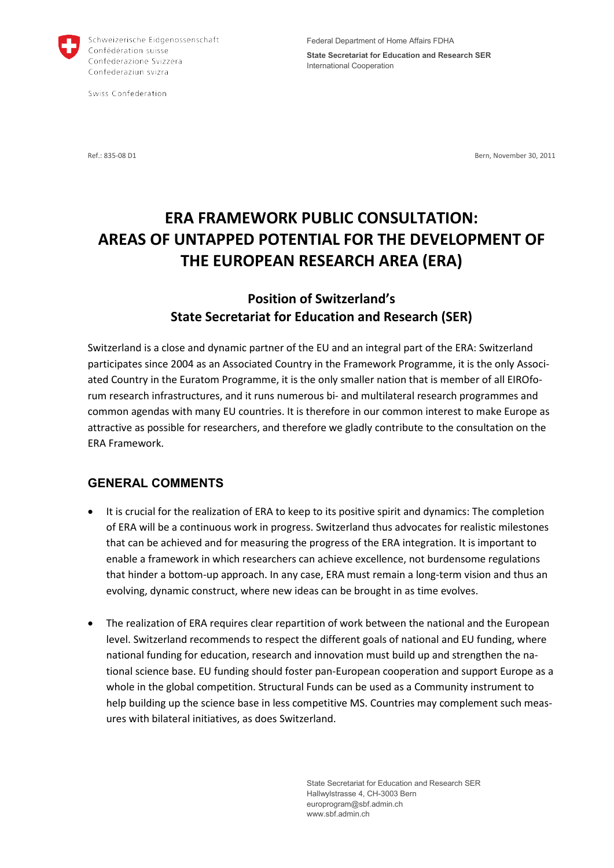

Schweizerische Eidgenossenschaft Confédération suisse Confederazione Svizzera Confederaziun svizra

Swiss Confederation

**State Secretariat for Education and Research SER** International Cooperation

Ref · 835-08 D1 Bern, November 30, 2011

# **ERA FRAMEWORK PUBLIC CONSULTATION: AREAS OF UNTAPPED POTENTIAL FOR THE DEVELOPMENT OF THE EUROPEAN RESEARCH AREA (ERA)**

## **Position of Switzerland's State Secretariat for Education and Research (SER)**

Switzerland is a close and dynamic partner of the EU and an integral part of the ERA: Switzerland participates since 2004 as an Associated Country in the Framework Programme, it is the only Associated Country in the Euratom Programme, it is the only smaller nation that is member of all EIROforum research infrastructures, and it runs numerous bi- and multilateral research programmes and common agendas with many EU countries. It is therefore in our common interest to make Europe as attractive as possible for researchers, and therefore we gladly contribute to the consultation on the ERA Framework.

### **GENERAL COMMENTS**

- It is crucial for the realization of ERA to keep to its positive spirit and dynamics: The completion of ERA will be a continuous work in progress. Switzerland thus advocates for realistic milestones that can be achieved and for measuring the progress of the ERA integration. It is important to enable a framework in which researchers can achieve excellence, not burdensome regulations that hinder a bottom-up approach. In any case, ERA must remain a long-term vision and thus an evolving, dynamic construct, where new ideas can be brought in as time evolves.
- The realization of ERA requires clear repartition of work between the national and the European level. Switzerland recommends to respect the different goals of national and EU funding, where national funding for education, research and innovation must build up and strengthen the national science base. EU funding should foster pan-European cooperation and support Europe as a whole in the global competition. Structural Funds can be used as a Community instrument to help building up the science base in less competitive MS. Countries may complement such measures with bilateral initiatives, as does Switzerland.

State Secretariat for Education and Research SER Hallwylstrasse 4, CH-3003 Bern europrogram@sbf.admin.ch www.sbf.admin.ch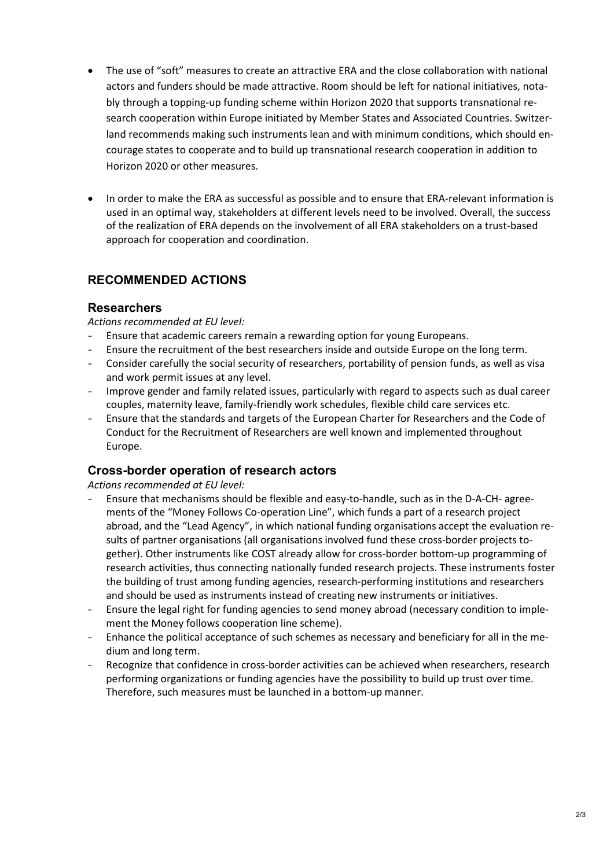- The use of "soft" measures to create an attractive ERA and the close collaboration with national actors and funders should be made attractive. Room should be left for national initiatives, notably through a topping-up funding scheme within Horizon 2020 that supports transnational research cooperation within Europe initiated by Member States and Associated Countries. Switzerland recommends making such instruments lean and with minimum conditions, which should encourage states to cooperate and to build up transnational research cooperation in addition to Horizon 2020 or other measures.
- In order to make the ERA as successful as possible and to ensure that ERA-relevant information is used in an optimal way, stakeholders at different levels need to be involved. Overall, the success of the realization of ERA depends on the involvement of all ERA stakeholders on a trust-based approach for cooperation and coordination.

## **RECOMMENDED ACTIONS**

#### **Researchers**

*Actions recommended at EU level:*

- Ensure that academic careers remain a rewarding option for young Europeans.
- Ensure the recruitment of the best researchers inside and outside Europe on the long term.
- Consider carefully the social security of researchers, portability of pension funds, as well as visa and work permit issues at any level.
- Improve gender and family related issues, particularly with regard to aspects such as dual career couples, maternity leave, family-friendly work schedules, flexible child care services etc.
- Ensure that the standards and targets of the European Charter for Researchers and the Code of Conduct for the Recruitment of Researchers are well known and implemented throughout Europe.

#### **Cross-border operation of research actors**

*Actions recommended at EU level:*

- Ensure that mechanisms should be flexible and easy-to-handle, such as in the D-A-CH- agreements of the "Money Follows Co-operation Line", which funds a part of a research project abroad, and the "Lead Agency", in which national funding organisations accept the evaluation results of partner organisations (all organisations involved fund these cross-border projects together). Other instruments like COST already allow for cross-border bottom-up programming of research activities, thus connecting nationally funded research projects. These instruments foster the building of trust among funding agencies, research-performing institutions and researchers and should be used as instruments instead of creating new instruments or initiatives.
- Ensure the legal right for funding agencies to send money abroad (necessary condition to implement the Money follows cooperation line scheme).
- Enhance the political acceptance of such schemes as necessary and beneficiary for all in the medium and long term.
- Recognize that confidence in cross-border activities can be achieved when researchers, research performing organizations or funding agencies have the possibility to build up trust over time. Therefore, such measures must be launched in a bottom-up manner.